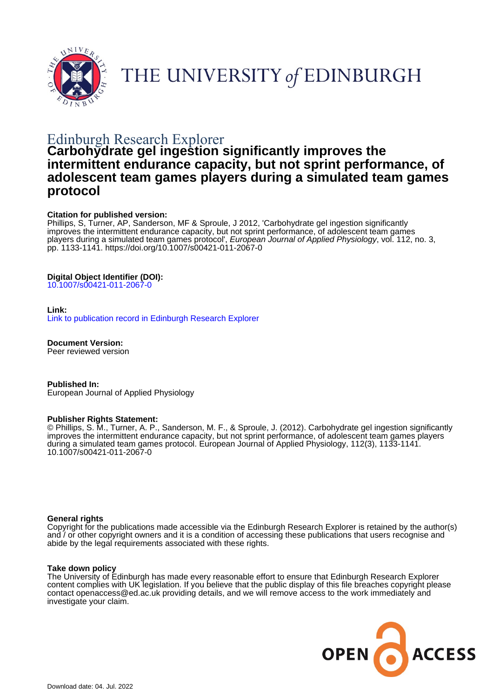



# Edinburgh Research Explorer

# **Carbohydrate gel ingestion significantly improves the intermittent endurance capacity, but not sprint performance, of adolescent team games players during a simulated team games protocol**

#### **Citation for published version:**

Phillips, S, Turner, AP, Sanderson, MF & Sproule, J 2012, 'Carbohydrate gel ingestion significantly improves the intermittent endurance capacity, but not sprint performance, of adolescent team games players during a simulated team games protocol', European Journal of Applied Physiology, vol. 112, no. 3, pp. 1133-1141.<https://doi.org/10.1007/s00421-011-2067-0>

#### **Digital Object Identifier (DOI):**

[10.1007/s00421-011-2067-0](https://doi.org/10.1007/s00421-011-2067-0)

#### **Link:**

[Link to publication record in Edinburgh Research Explorer](https://www.research.ed.ac.uk/en/publications/97e3c69d-0905-4731-9e77-b08b20792f8f)

**Document Version:** Peer reviewed version

**Published In:** European Journal of Applied Physiology

#### **Publisher Rights Statement:**

© Phillips, S. M., Turner, A. P., Sanderson, M. F., & Sproule, J. (2012). Carbohydrate gel ingestion significantly improves the intermittent endurance capacity, but not sprint performance, of adolescent team games players during a simulated team games protocol. European Journal of Applied Physiology, 112(3), 1133-1141. 10.1007/s00421-011-2067-0

#### **General rights**

Copyright for the publications made accessible via the Edinburgh Research Explorer is retained by the author(s) and / or other copyright owners and it is a condition of accessing these publications that users recognise and abide by the legal requirements associated with these rights.

#### **Take down policy**

The University of Edinburgh has made every reasonable effort to ensure that Edinburgh Research Explorer content complies with UK legislation. If you believe that the public display of this file breaches copyright please contact openaccess@ed.ac.uk providing details, and we will remove access to the work immediately and investigate your claim.

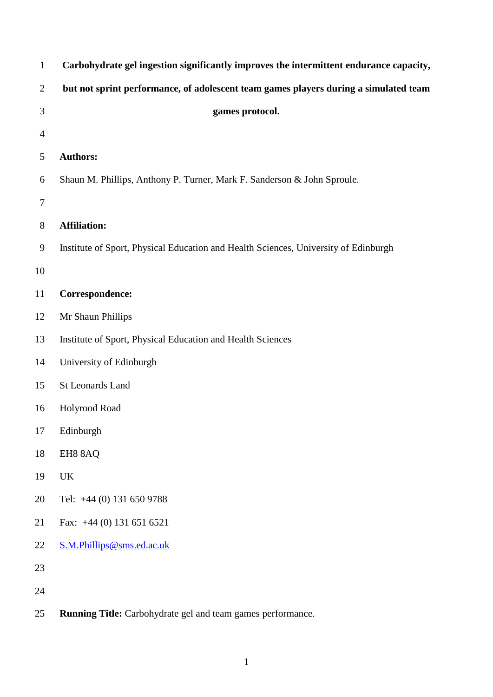| Carbohydrate gel ingestion significantly improves the intermittent endurance capacity, |
|----------------------------------------------------------------------------------------|
| but not sprint performance, of adolescent team games players during a simulated team   |
| games protocol.                                                                        |
|                                                                                        |
| <b>Authors:</b>                                                                        |
| Shaun M. Phillips, Anthony P. Turner, Mark F. Sanderson & John Sproule.                |
|                                                                                        |
| <b>Affiliation:</b>                                                                    |
| Institute of Sport, Physical Education and Health Sciences, University of Edinburgh    |
|                                                                                        |
| Correspondence:                                                                        |
| Mr Shaun Phillips                                                                      |
| Institute of Sport, Physical Education and Health Sciences                             |
| University of Edinburgh                                                                |
| <b>St Leonards Land</b>                                                                |
| Holyrood Road                                                                          |
| Edinburgh                                                                              |
| EH88AQ                                                                                 |
| UK                                                                                     |
| Tel: +44 (0) 131 650 9788                                                              |
| Fax: +44 (0) 131 651 6521                                                              |
| S.M.Phillips@sms.ed.ac.uk                                                              |
|                                                                                        |
|                                                                                        |
|                                                                                        |

**Running Title:** Carbohydrate gel and team games performance.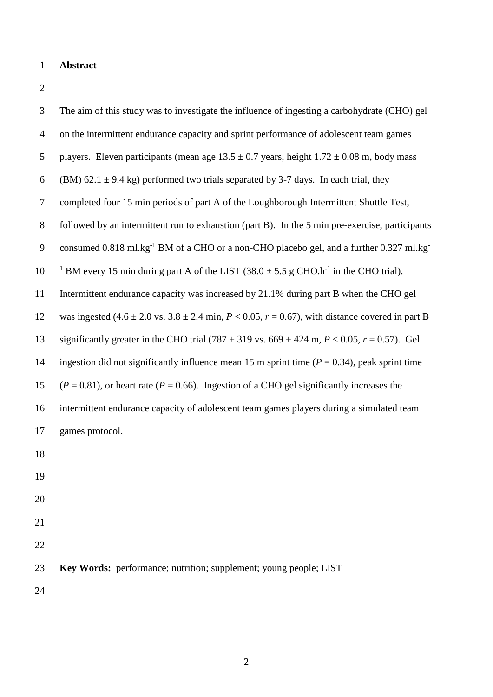### **Abstract**

| 3                | The aim of this study was to investigate the influence of ingesting a carbohydrate (CHO) gel                                 |
|------------------|------------------------------------------------------------------------------------------------------------------------------|
| $\overline{4}$   | on the intermittent endurance capacity and sprint performance of adolescent team games                                       |
| 5                | players. Eleven participants (mean age $13.5 \pm 0.7$ years, height $1.72 \pm 0.08$ m, body mass                             |
| 6                | (BM) 62.1 $\pm$ 9.4 kg) performed two trials separated by 3-7 days. In each trial, they                                      |
| $\boldsymbol{7}$ | completed four 15 min periods of part A of the Loughborough Intermittent Shuttle Test,                                       |
| $8\,$            | followed by an intermittent run to exhaustion (part B). In the 5 min pre-exercise, participants                              |
| 9                | consumed 0.818 ml.kg <sup>-1</sup> BM of a CHO or a non-CHO placebo gel, and a further 0.327 ml.kg <sup>-1</sup>             |
| 10               | <sup>1</sup> BM every 15 min during part A of the LIST $(38.0 \pm 5.5 \text{ g CHO} \cdot \text{h}^{-1})$ in the CHO trial). |
| 11               | Intermittent endurance capacity was increased by 21.1% during part B when the CHO gel                                        |
| 12               | was ingested $(4.6 \pm 2.0 \text{ vs. } 3.8 \pm 2.4 \text{ min}, P < 0.05, r = 0.67)$ , with distance covered in part B      |
| 13               | significantly greater in the CHO trial (787 $\pm$ 319 vs. 669 $\pm$ 424 m, P < 0.05, r = 0.57). Gel                          |
| 14               | ingestion did not significantly influence mean 15 m sprint time ( $P = 0.34$ ), peak sprint time                             |
| 15               | $(P = 0.81)$ , or heart rate ( $P = 0.66$ ). Ingestion of a CHO gel significantly increases the                              |
| 16               | intermittent endurance capacity of adolescent team games players during a simulated team                                     |
| 17               | games protocol.                                                                                                              |
| 18               |                                                                                                                              |
| 19               |                                                                                                                              |
| 20               |                                                                                                                              |
| 21               |                                                                                                                              |
| 22               |                                                                                                                              |
| 23               | Key Words: performance; nutrition; supplement; young people; LIST                                                            |
| 24               |                                                                                                                              |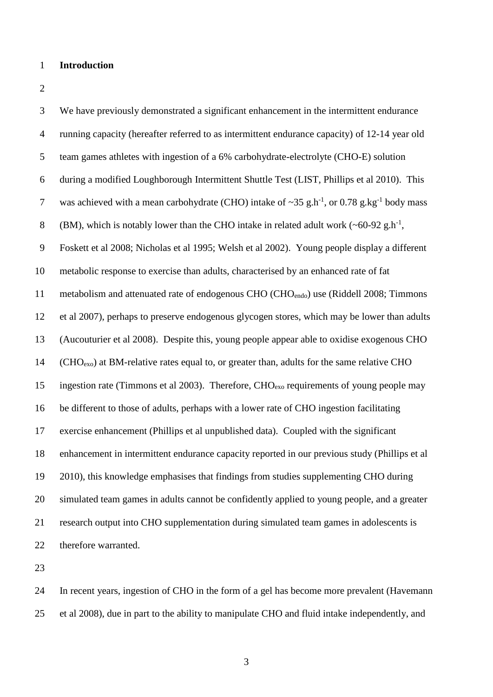#### **Introduction**

 We have previously demonstrated a significant enhancement in the intermittent endurance running capacity (hereafter referred to as intermittent endurance capacity) of 12-14 year old team games athletes with ingestion of a 6% carbohydrate-electrolyte (CHO-E) solution during a modified Loughborough Intermittent Shuttle Test (LIST, Phillips et al 2010). This 7 was achieved with a mean carbohydrate (CHO) intake of  $\sim$ 35 g.h<sup>-1</sup>, or 0.78 g.kg<sup>-1</sup> body mass 8 (BM), which is notably lower than the CHO intake in related adult work  $({\sim}60{\text -}92 \text{ g.h}^{-1})$ , Foskett et al 2008; Nicholas et al 1995; Welsh et al 2002). Young people display a different metabolic response to exercise than adults, characterised by an enhanced rate of fat 11 metabolism and attenuated rate of endogenous CHO (CHO<sub>endo</sub>) use (Riddell 2008; Timmons et al 2007), perhaps to preserve endogenous glycogen stores, which may be lower than adults (Aucouturier et al 2008). Despite this, young people appear able to oxidise exogenous CHO 14 ( $CHO<sub>exo</sub>$ ) at BM-relative rates equal to, or greater than, adults for the same relative CHO ingestion rate (Timmons et al 2003). Therefore, CHOexo requirements of young people may be different to those of adults, perhaps with a lower rate of CHO ingestion facilitating exercise enhancement (Phillips et al unpublished data). Coupled with the significant enhancement in intermittent endurance capacity reported in our previous study (Phillips et al 2010), this knowledge emphasises that findings from studies supplementing CHO during simulated team games in adults cannot be confidently applied to young people, and a greater research output into CHO supplementation during simulated team games in adolescents is therefore warranted.

 In recent years, ingestion of CHO in the form of a gel has become more prevalent (Havemann et al 2008), due in part to the ability to manipulate CHO and fluid intake independently, and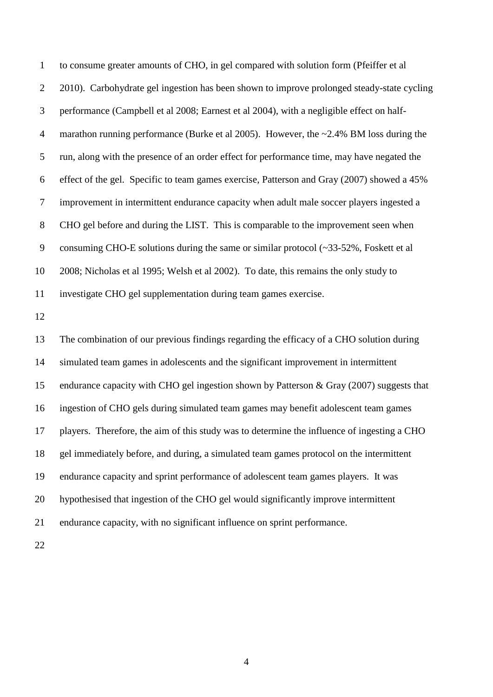to consume greater amounts of CHO, in gel compared with solution form (Pfeiffer et al 2 2010). Carbohydrate gel ingestion has been shown to improve prolonged steady-state cycling performance (Campbell et al 2008; Earnest et al 2004), with a negligible effect on half- marathon running performance (Burke et al 2005). However, the ~2.4% BM loss during the run, along with the presence of an order effect for performance time, may have negated the effect of the gel. Specific to team games exercise, Patterson and Gray (2007) showed a 45% improvement in intermittent endurance capacity when adult male soccer players ingested a CHO gel before and during the LIST. This is comparable to the improvement seen when 9 consuming CHO-E solutions during the same or similar protocol (~33-52%, Foskett et al 2008; Nicholas et al 1995; Welsh et al 2002). To date, this remains the only study to investigate CHO gel supplementation during team games exercise.

 The combination of our previous findings regarding the efficacy of a CHO solution during simulated team games in adolescents and the significant improvement in intermittent endurance capacity with CHO gel ingestion shown by Patterson & Gray (2007) suggests that ingestion of CHO gels during simulated team games may benefit adolescent team games players. Therefore, the aim of this study was to determine the influence of ingesting a CHO gel immediately before, and during, a simulated team games protocol on the intermittent endurance capacity and sprint performance of adolescent team games players. It was hypothesised that ingestion of the CHO gel would significantly improve intermittent endurance capacity, with no significant influence on sprint performance.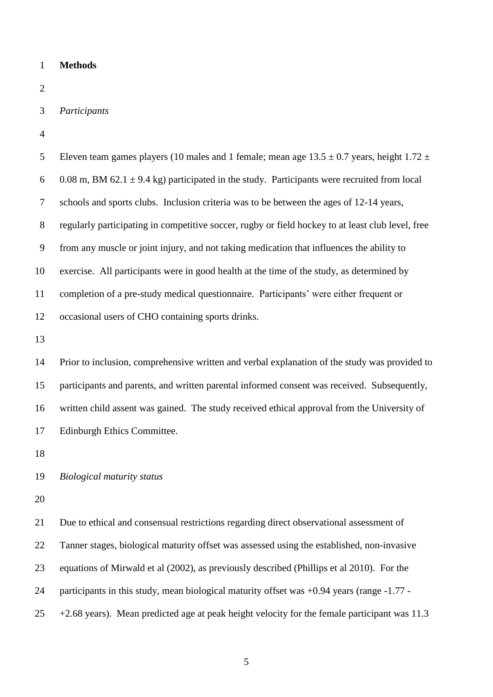# **Methods**

*Participants*

| 5                | Eleven team games players (10 males and 1 female; mean age $13.5 \pm 0.7$ years, height $1.72 \pm 0.7$ |
|------------------|--------------------------------------------------------------------------------------------------------|
| 6                | 0.08 m, BM 62.1 $\pm$ 9.4 kg) participated in the study. Participants were recruited from local        |
| $\boldsymbol{7}$ | schools and sports clubs. Inclusion criteria was to be between the ages of 12-14 years,                |
| $8\,$            | regularly participating in competitive soccer, rugby or field hockey to at least club level, free      |
| 9                | from any muscle or joint injury, and not taking medication that influences the ability to              |
| 10               | exercise. All participants were in good health at the time of the study, as determined by              |
| 11               | completion of a pre-study medical questionnaire. Participants' were either frequent or                 |
| 12               | occasional users of CHO containing sports drinks.                                                      |
| 13               |                                                                                                        |
| 14               | Prior to inclusion, comprehensive written and verbal explanation of the study was provided to          |
| 15               | participants and parents, and written parental informed consent was received. Subsequently,            |
| 16               | written child assent was gained. The study received ethical approval from the University of            |
| 17               | Edinburgh Ethics Committee.                                                                            |
| 18               |                                                                                                        |
| 19               | <b>Biological maturity status</b>                                                                      |
| 20               |                                                                                                        |
| 21               | Due to ethical and consensual restrictions regarding direct observational assessment of                |
| 22               | Tanner stages, biological maturity offset was assessed using the established, non-invasive             |
| 23               | equations of Mirwald et al (2002), as previously described (Phillips et al 2010). For the              |
| 24               | participants in this study, mean biological maturity offset was +0.94 years (range -1.77 -             |
| 25               | $+2.68$ years). Mean predicted age at peak height velocity for the female participant was 11.3         |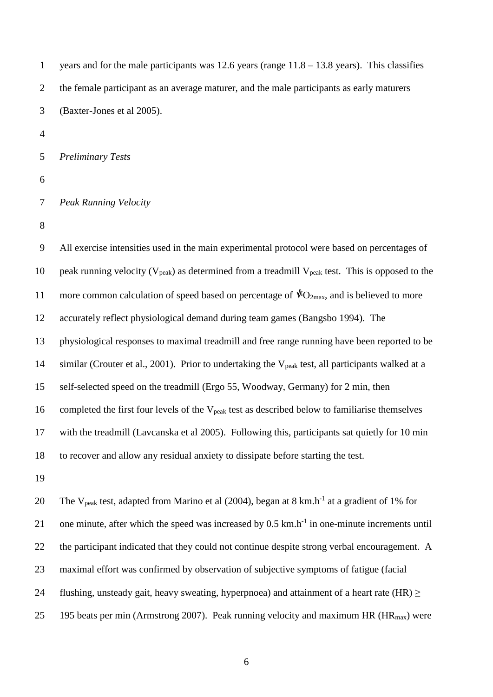1 years and for the male participants was  $12.6$  years (range  $11.8 - 13.8$  years). This classifies the female participant as an average maturer, and the male participants as early maturers (Baxter-Jones et al 2005).

*Preliminary Tests*

*Peak Running Velocity*

 All exercise intensities used in the main experimental protocol were based on percentages of 10 peak running velocity ( $V_{peak}$ ) as determined from a treadmill  $V_{peak}$  test. This is opposed to the 11 more common calculation of speed based on percentage of  $*O<sub>2max</sub>$ , and is believed to more accurately reflect physiological demand during team games (Bangsbo 1994). The physiological responses to maximal treadmill and free range running have been reported to be 14 similar (Crouter et al., 2001). Prior to undertaking the V<sub>peak</sub> test, all participants walked at a self-selected speed on the treadmill (Ergo 55, Woodway, Germany) for 2 min, then 16 completed the first four levels of the V<sub>peak</sub> test as described below to familiarise themselves with the treadmill (Lavcanska et al 2005). Following this, participants sat quietly for 10 min to recover and allow any residual anxiety to dissipate before starting the test.

20 The V<sub>peak</sub> test, adapted from Marino et al (2004), began at 8 km.h<sup>-1</sup> at a gradient of 1% for 21 one minute, after which the speed was increased by  $0.5 \text{ km.h}^{-1}$  in one-minute increments until the participant indicated that they could not continue despite strong verbal encouragement. A maximal effort was confirmed by observation of subjective symptoms of fatigue (facial 24 flushing, unsteady gait, heavy sweating, hyperpnoea) and attainment of a heart rate (HR)  $\ge$ 25 195 beats per min (Armstrong 2007). Peak running velocity and maximum HR ( $HR_{max}$ ) were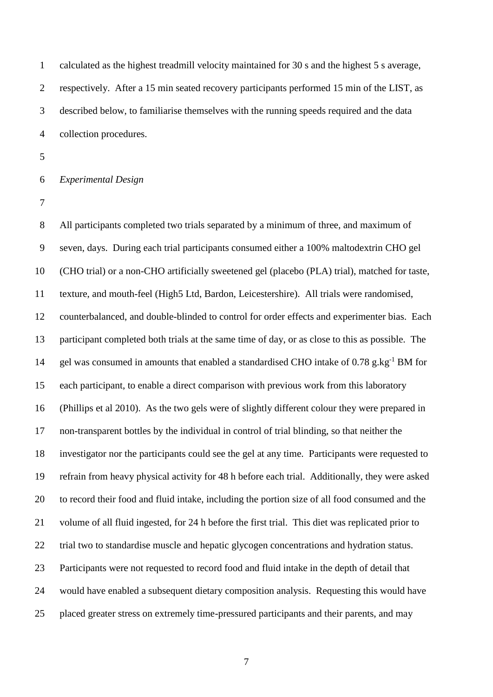calculated as the highest treadmill velocity maintained for 30 s and the highest 5 s average, respectively. After a 15 min seated recovery participants performed 15 min of the LIST, as described below, to familiarise themselves with the running speeds required and the data collection procedures.

#### *Experimental Design*

 All participants completed two trials separated by a minimum of three, and maximum of seven, days. During each trial participants consumed either a 100% maltodextrin CHO gel (CHO trial) or a non-CHO artificially sweetened gel (placebo (PLA) trial), matched for taste, texture, and mouth-feel (High5 Ltd, Bardon, Leicestershire). All trials were randomised, counterbalanced, and double-blinded to control for order effects and experimenter bias. Each participant completed both trials at the same time of day, or as close to this as possible. The 14 gel was consumed in amounts that enabled a standardised CHO intake of 0.78 g.kg<sup>-1</sup> BM for each participant, to enable a direct comparison with previous work from this laboratory (Phillips et al 2010). As the two gels were of slightly different colour they were prepared in non-transparent bottles by the individual in control of trial blinding, so that neither the investigator nor the participants could see the gel at any time. Participants were requested to refrain from heavy physical activity for 48 h before each trial. Additionally, they were asked to record their food and fluid intake, including the portion size of all food consumed and the volume of all fluid ingested, for 24 h before the first trial. This diet was replicated prior to trial two to standardise muscle and hepatic glycogen concentrations and hydration status. Participants were not requested to record food and fluid intake in the depth of detail that would have enabled a subsequent dietary composition analysis. Requesting this would have placed greater stress on extremely time-pressured participants and their parents, and may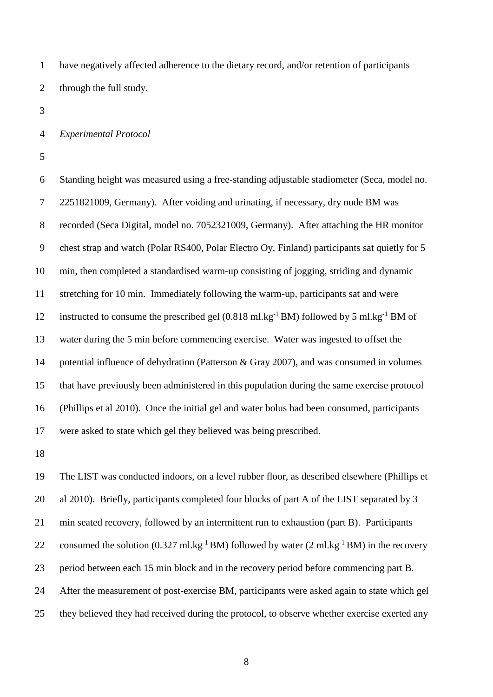have negatively affected adherence to the dietary record, and/or retention of participants through the full study.

#### *Experimental Protocol*

 Standing height was measured using a free-standing adjustable stadiometer (Seca, model no. 2251821009, Germany). After voiding and urinating, if necessary, dry nude BM was recorded (Seca Digital, model no. 7052321009, Germany). After attaching the HR monitor chest strap and watch (Polar RS400, Polar Electro Oy, Finland) participants sat quietly for 5 min, then completed a standardised warm-up consisting of jogging, striding and dynamic stretching for 10 min. Immediately following the warm-up, participants sat and were 12 instructed to consume the prescribed gel (0.818 ml.kg<sup>-1</sup> BM) followed by 5 ml.kg<sup>-1</sup> BM of water during the 5 min before commencing exercise. Water was ingested to offset the potential influence of dehydration (Patterson & Gray 2007), and was consumed in volumes that have previously been administered in this population during the same exercise protocol (Phillips et al 2010). Once the initial gel and water bolus had been consumed, participants were asked to state which gel they believed was being prescribed.

 The LIST was conducted indoors, on a level rubber floor, as described elsewhere (Phillips et al 2010). Briefly, participants completed four blocks of part A of the LIST separated by 3 min seated recovery, followed by an intermittent run to exhaustion (part B). Participants 22 consumed the solution  $(0.327 \text{ ml} \cdot \text{kg}^{-1} \text{ BM})$  followed by water  $(2 \text{ ml} \cdot \text{kg}^{-1} \text{ BM})$  in the recovery period between each 15 min block and in the recovery period before commencing part B. After the measurement of post-exercise BM, participants were asked again to state which gel they believed they had received during the protocol, to observe whether exercise exerted any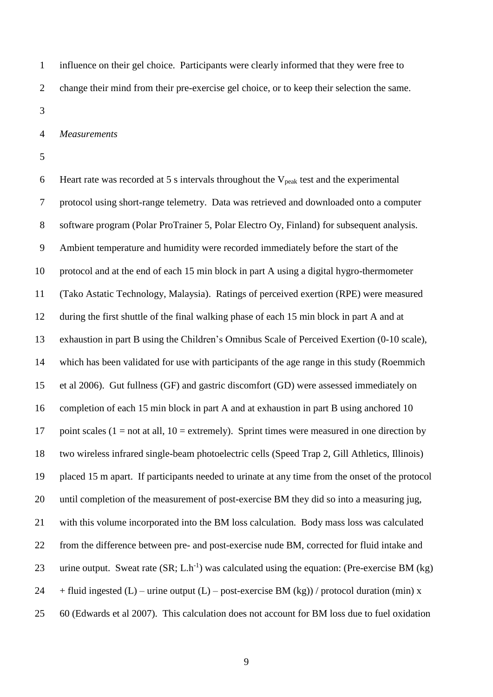influence on their gel choice. Participants were clearly informed that they were free to change their mind from their pre-exercise gel choice, or to keep their selection the same.

#### *Measurements*

6 Heart rate was recorded at 5 s intervals throughout the  $V_{peak}$  test and the experimental protocol using short-range telemetry. Data was retrieved and downloaded onto a computer software program (Polar ProTrainer 5, Polar Electro Oy, Finland) for subsequent analysis. Ambient temperature and humidity were recorded immediately before the start of the protocol and at the end of each 15 min block in part A using a digital hygro-thermometer (Tako Astatic Technology, Malaysia). Ratings of perceived exertion (RPE) were measured during the first shuttle of the final walking phase of each 15 min block in part A and at exhaustion in part B using the Children's Omnibus Scale of Perceived Exertion (0-10 scale), which has been validated for use with participants of the age range in this study (Roemmich et al 2006). Gut fullness (GF) and gastric discomfort (GD) were assessed immediately on completion of each 15 min block in part A and at exhaustion in part B using anchored 10 17 point scales (1 = not at all, 10 = extremely). Sprint times were measured in one direction by two wireless infrared single-beam photoelectric cells (Speed Trap 2, Gill Athletics, Illinois) placed 15 m apart. If participants needed to urinate at any time from the onset of the protocol until completion of the measurement of post-exercise BM they did so into a measuring jug, with this volume incorporated into the BM loss calculation. Body mass loss was calculated from the difference between pre- and post-exercise nude BM, corrected for fluid intake and 23 urine output. Sweat rate  $(SR; L.h^{-1})$  was calculated using the equation: (Pre-exercise BM (kg) 24 + fluid ingested  $(L)$  – urine output  $(L)$  – post-exercise BM  $(kg)$ ) / protocol duration (min) x 60 (Edwards et al 2007). This calculation does not account for BM loss due to fuel oxidation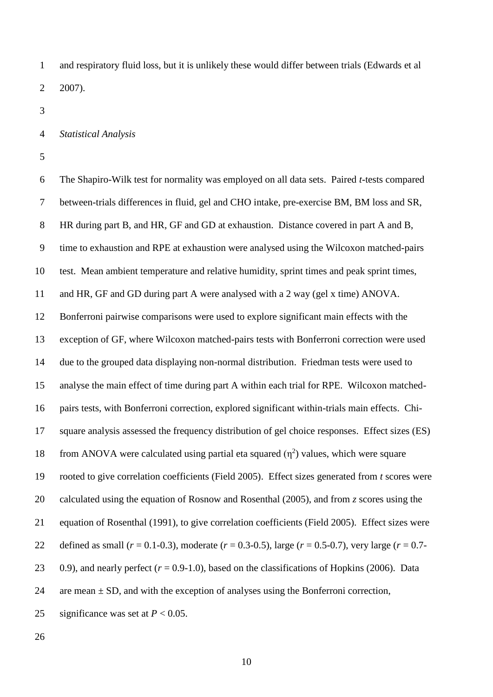and respiratory fluid loss, but it is unlikely these would differ between trials (Edwards et al 2007).

#### *Statistical Analysis*

 The Shapiro-Wilk test for normality was employed on all data sets. Paired *t*-tests compared between-trials differences in fluid, gel and CHO intake, pre-exercise BM, BM loss and SR, HR during part B, and HR, GF and GD at exhaustion. Distance covered in part A and B, time to exhaustion and RPE at exhaustion were analysed using the Wilcoxon matched-pairs test. Mean ambient temperature and relative humidity, sprint times and peak sprint times, and HR, GF and GD during part A were analysed with a 2 way (gel x time) ANOVA. Bonferroni pairwise comparisons were used to explore significant main effects with the exception of GF, where Wilcoxon matched-pairs tests with Bonferroni correction were used due to the grouped data displaying non-normal distribution. Friedman tests were used to analyse the main effect of time during part A within each trial for RPE. Wilcoxon matched- pairs tests, with Bonferroni correction, explored significant within-trials main effects. Chi- square analysis assessed the frequency distribution of gel choice responses. Effect sizes (ES) 18 from ANOVA were calculated using partial eta squared  $(\eta^2)$  values, which were square rooted to give correlation coefficients (Field 2005). Effect sizes generated from *t* scores were calculated using the equation of Rosnow and Rosenthal (2005), and from *z* scores using the equation of Rosenthal (1991), to give correlation coefficients (Field 2005). Effect sizes were 22 defined as small  $(r = 0.1 - 0.3)$ , moderate  $(r = 0.3 - 0.5)$ , large  $(r = 0.5 - 0.7)$ , very large  $(r = 0.7 - 0.7)$ 23 0.9), and nearly perfect  $(r = 0.9-1.0)$ , based on the classifications of Hopkins (2006). Data 24 are mean  $\pm$  SD, and with the exception of analyses using the Bonferroni correction, 25 significance was set at  $P < 0.05$ .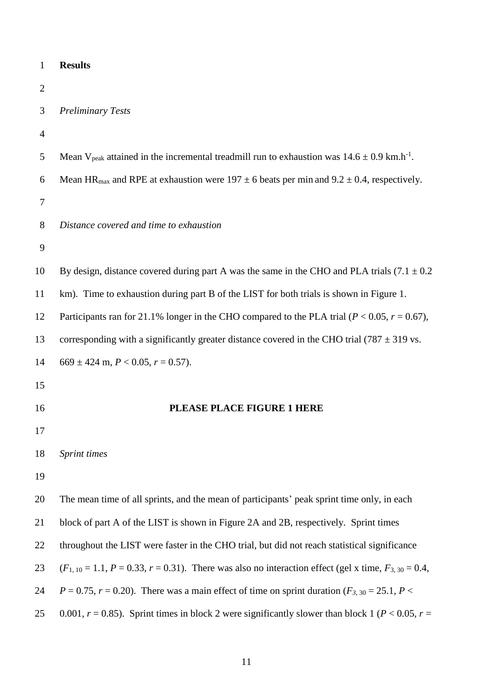| $\mathbf{1}$   | <b>Results</b>                                                                                                         |
|----------------|------------------------------------------------------------------------------------------------------------------------|
| $\overline{2}$ |                                                                                                                        |
| 3              | <b>Preliminary Tests</b>                                                                                               |
| $\overline{4}$ |                                                                                                                        |
| 5              | Mean V <sub>peak</sub> attained in the incremental treadmill run to exhaustion was $14.6 \pm 0.9$ km.h <sup>-1</sup> . |
| 6              | Mean HR <sub>max</sub> and RPE at exhaustion were $197 \pm 6$ beats per min and $9.2 \pm 0.4$ , respectively.          |
| 7              |                                                                                                                        |
| 8              | Distance covered and time to exhaustion                                                                                |
| 9              |                                                                                                                        |
| 10             | By design, distance covered during part A was the same in the CHO and PLA trials $(7.1 \pm 0.2)$                       |
| 11             | km). Time to exhaustion during part B of the LIST for both trials is shown in Figure 1.                                |
| 12             | Participants ran for 21.1% longer in the CHO compared to the PLA trial ( $P < 0.05$ , $r = 0.67$ ),                    |
| 13             | corresponding with a significantly greater distance covered in the CHO trial (787 $\pm$ 319 vs.                        |
| 14             | $669 \pm 424$ m, $P < 0.05$ , $r = 0.57$ ).                                                                            |
| 15             |                                                                                                                        |
| 16             | PLEASE PLACE FIGURE 1 HERE                                                                                             |
| 17             |                                                                                                                        |
| 18             | Sprint times                                                                                                           |
| 19             |                                                                                                                        |
| 20             | The mean time of all sprints, and the mean of participants' peak sprint time only, in each                             |
| 21             | block of part A of the LIST is shown in Figure 2A and 2B, respectively. Sprint times                                   |
| 22             | throughout the LIST were faster in the CHO trial, but did not reach statistical significance                           |
| 23             | $(F_{1,10} = 1.1, P = 0.33, r = 0.31)$ . There was also no interaction effect (gel x time, $F_{3,30} = 0.4$ ,          |
| 24             | $P = 0.75$ , $r = 0.20$ ). There was a main effect of time on sprint duration ( $F_{3,30} = 25.1$ , $P <$              |
| 25             | 0.001, $r = 0.85$ ). Sprint times in block 2 were significantly slower than block 1 ( $P < 0.05$ , $r =$               |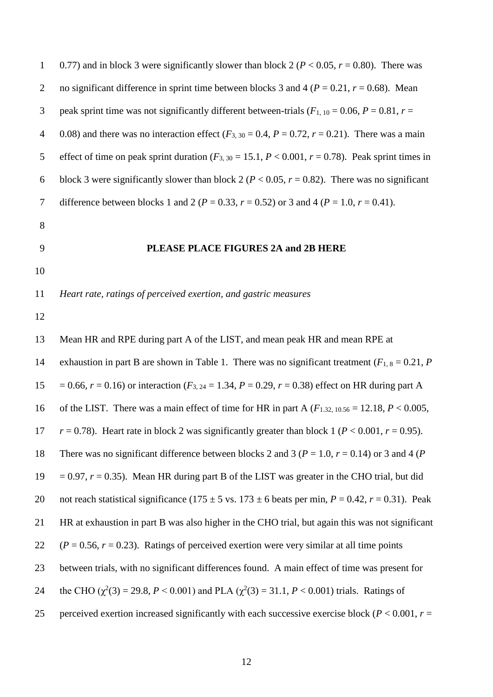| $\mathbf{1}$   | 0.77) and in block 3 were significantly slower than block 2 ( $P < 0.05$ , $r = 0.80$ ). There was                |
|----------------|-------------------------------------------------------------------------------------------------------------------|
| $\overline{2}$ | no significant difference in sprint time between blocks 3 and 4 ( $P = 0.21$ , $r = 0.68$ ). Mean                 |
| 3              | peak sprint time was not significantly different between-trials ( $F_{1,10} = 0.06$ , $P = 0.81$ , $r =$          |
| $\overline{4}$ | 0.08) and there was no interaction effect ( $F_{3,30} = 0.4$ , $P = 0.72$ , $r = 0.21$ ). There was a main        |
| 5              | effect of time on peak sprint duration ( $F_{3,30} = 15.1$ , $P < 0.001$ , $r = 0.78$ ). Peak sprint times in     |
| 6              | block 3 were significantly slower than block 2 ( $P < 0.05$ , $r = 0.82$ ). There was no significant              |
| $\tau$         | difference between blocks 1 and 2 ( $P = 0.33$ , $r = 0.52$ ) or 3 and 4 ( $P = 1.0$ , $r = 0.41$ ).              |
| 8              |                                                                                                                   |
| 9              | PLEASE PLACE FIGURES 2A and 2B HERE                                                                               |
| 10             |                                                                                                                   |
| 11             | Heart rate, ratings of perceived exertion, and gastric measures                                                   |
| 12             |                                                                                                                   |
| 13             | Mean HR and RPE during part A of the LIST, and mean peak HR and mean RPE at                                       |
| 14             | exhaustion in part B are shown in Table 1. There was no significant treatment ( $F_{1,8} = 0.21$ , P              |
| 15             | $= 0.66$ , $r = 0.16$ ) or interaction ( $F_{3,24} = 1.34$ , $P = 0.29$ , $r = 0.38$ ) effect on HR during part A |
| 16             | of the LIST. There was a main effect of time for HR in part A ( $F_{1,32,10,56} = 12.18, P < 0.005$ ,             |
| 17             | $r = 0.78$ ). Heart rate in block 2 was significantly greater than block 1 ( $P < 0.001$ , $r = 0.95$ ).          |
| 18             | There was no significant difference between blocks 2 and 3 ( $P = 1.0$ , $r = 0.14$ ) or 3 and 4 ( $P = 1.0$ )    |
| 19             | $= 0.97$ , $r = 0.35$ ). Mean HR during part B of the LIST was greater in the CHO trial, but did                  |
| 20             | not reach statistical significance (175 ± 5 vs. 173 ± 6 beats per min, $P = 0.42$ , $r = 0.31$ ). Peak            |
| 21             | HR at exhaustion in part B was also higher in the CHO trial, but again this was not significant                   |
| 22             | $(P = 0.56, r = 0.23)$ . Ratings of perceived exertion were very similar at all time points                       |
| 23             | between trials, with no significant differences found. A main effect of time was present for                      |
| 24             | the CHO ( $\chi^2(3)$ = 29.8, P < 0.001) and PLA ( $\chi^2(3)$ = 31.1, P < 0.001) trials. Ratings of              |
| 25             | perceived exertion increased significantly with each successive exercise block ( $P < 0.001$ , $r =$              |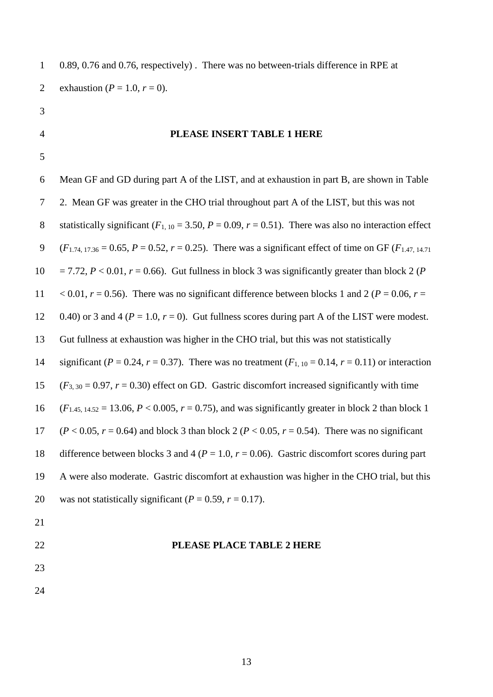1 0.89, 0.76 and 0.76, respectively) . There was no between-trials difference in RPE at 2 exhaustion ( $P = 1.0, r = 0$ ).

- 3
- 

#### 4 **PLEASE INSERT TABLE 1 HERE**

5

6 Mean GF and GD during part A of the LIST, and at exhaustion in part B, are shown in Table 7 2. Mean GF was greater in the CHO trial throughout part A of the LIST, but this was not 8 statistically significant  $(F_{1, 10} = 3.50, P = 0.09, r = 0.51)$ . There was also no interaction effect 9 ( $F_{1.74, 17.36} = 0.65, P = 0.52, r = 0.25$ ). There was a significant effect of time on GF ( $F_{1.47, 14.71}$ ) 10 = 7.72,  $P < 0.01$ ,  $r = 0.66$ ). Gut fullness in block 3 was significantly greater than block 2 (*P* 11 < 0.01,  $r = 0.56$ ). There was no significant difference between blocks 1 and 2 ( $P = 0.06$ ,  $r =$ 12 0.40) or 3 and 4 ( $P = 1.0$ ,  $r = 0$ ). Gut fullness scores during part A of the LIST were modest. 13 Gut fullness at exhaustion was higher in the CHO trial, but this was not statistically 14 significant ( $P = 0.24$ ,  $r = 0.37$ ). There was no treatment ( $F_{1,10} = 0.14$ ,  $r = 0.11$ ) or interaction 15  $(F_{3,30} = 0.97, r = 0.30)$  effect on GD. Gastric discomfort increased significantly with time 16 (*F*<sub>1.45, 14.52</sub> = 13.06, *P* < 0.005, *r* = 0.75), and was significantly greater in block 2 than block 1 17 (*P* < 0.05, *r* = 0.64) and block 3 than block 2 (*P* < 0.05, *r* = 0.54). There was no significant 18 difference between blocks 3 and 4 (*P* = 1.0, *r* = 0.06). Gastric discomfort scores during part 19 A were also moderate. Gastric discomfort at exhaustion was higher in the CHO trial, but this 20 was not statistically significant  $(P = 0.59, r = 0.17)$ . 21 22 **PLEASE PLACE TABLE 2 HERE**

23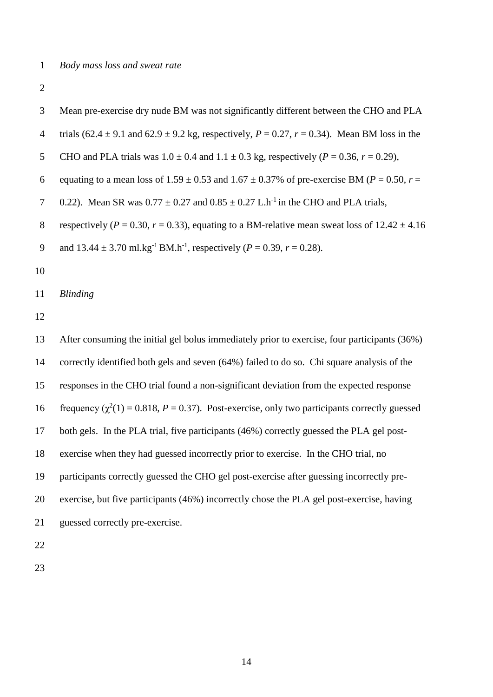| 3              | Mean pre-exercise dry nude BM was not significantly different between the CHO and PLA                   |
|----------------|---------------------------------------------------------------------------------------------------------|
| $\overline{4}$ | trials (62.4 $\pm$ 9.1 and 62.9 $\pm$ 9.2 kg, respectively, P = 0.27, r = 0.34). Mean BM loss in the    |
| 5              | CHO and PLA trials was $1.0 \pm 0.4$ and $1.1 \pm 0.3$ kg, respectively ( $P = 0.36$ , $r = 0.29$ ),    |
| 6              | equating to a mean loss of 1.59 $\pm$ 0.53 and 1.67 $\pm$ 0.37% of pre-exercise BM (P = 0.50, r =       |
| $\tau$         | 0.22). Mean SR was $0.77 \pm 0.27$ and $0.85 \pm 0.27$ L.h <sup>-1</sup> in the CHO and PLA trials,     |
| $8\,$          | respectively ( $P = 0.30$ , $r = 0.33$ ), equating to a BM-relative mean sweat loss of $12.42 \pm 4.16$ |
| 9              | and $13.44 \pm 3.70$ ml.kg <sup>-1</sup> BM.h <sup>-1</sup> , respectively ( $P = 0.39$ , $r = 0.28$ ). |
| 10             |                                                                                                         |
| 11             | <b>Blinding</b>                                                                                         |
| 12             |                                                                                                         |
| 13             | After consuming the initial gel bolus immediately prior to exercise, four participants (36%)            |
| 14             | correctly identified both gels and seven (64%) failed to do so. Chi square analysis of the              |
| 15             | responses in the CHO trial found a non-significant deviation from the expected response                 |
| 16             | frequency ( $\chi^2(1) = 0.818$ , $P = 0.37$ ). Post-exercise, only two participants correctly guessed  |
| 17             | both gels. In the PLA trial, five participants (46%) correctly guessed the PLA gel post-                |
| 18             | exercise when they had guessed incorrectly prior to exercise. In the CHO trial, no                      |
| 19             | participants correctly guessed the CHO gel post-exercise after guessing incorrectly pre-                |
| 20             | exercise, but five participants (46%) incorrectly chose the PLA gel post-exercise, having               |
| 21             | guessed correctly pre-exercise.                                                                         |
| 22             |                                                                                                         |
|                |                                                                                                         |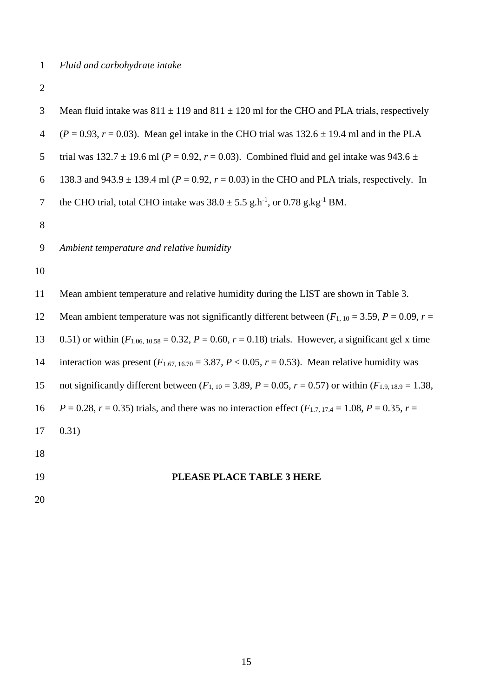| 3              | Mean fluid intake was $811 \pm 119$ and $811 \pm 120$ ml for the CHO and PLA trials, respectively                  |
|----------------|--------------------------------------------------------------------------------------------------------------------|
| $\overline{4}$ | $(P = 0.93, r = 0.03)$ . Mean gel intake in the CHO trial was 132.6 $\pm$ 19.4 ml and in the PLA                   |
| 5              | trial was 132.7 $\pm$ 19.6 ml (P = 0.92, r = 0.03). Combined fluid and gel intake was 943.6 $\pm$                  |
| 6              | 138.3 and 943.9 $\pm$ 139.4 ml ( $P = 0.92$ , $r = 0.03$ ) in the CHO and PLA trials, respectively. In             |
| $\tau$         | the CHO trial, total CHO intake was $38.0 \pm 5.5$ g.h <sup>-1</sup> , or 0.78 g.kg <sup>-1</sup> BM.              |
| 8              |                                                                                                                    |
| 9              | Ambient temperature and relative humidity                                                                          |
| 10             |                                                                                                                    |
| 11             | Mean ambient temperature and relative humidity during the LIST are shown in Table 3.                               |
| 12             | Mean ambient temperature was not significantly different between $(F_{1,10} = 3.59, P = 0.09, r =$                 |
| 13             | 0.51) or within $(F_{1.06, 10.58} = 0.32, P = 0.60, r = 0.18)$ trials. However, a significant gel x time           |
| 14             | interaction was present ( $F_{1.67, 16.70} = 3.87, P < 0.05, r = 0.53$ ). Mean relative humidity was               |
| 15             | not significantly different between $(F_{1,10} = 3.89, P = 0.05, r = 0.57)$ or within $(F_{1,9,18,9} = 1.38,$      |
| 16             | $P = 0.28$ , $r = 0.35$ ) trials, and there was no interaction effect ( $F_{1,7,17,4} = 1.08$ , $P = 0.35$ , $r =$ |
| 17             | 0.31)                                                                                                              |
| 18             |                                                                                                                    |
| 19             | PLEASE PLACE TABLE 3 HERE                                                                                          |
| 20             |                                                                                                                    |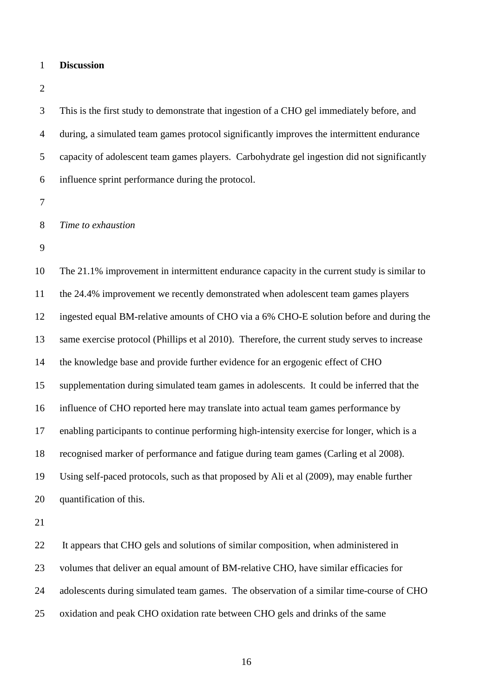- **Discussion**
- 

 This is the first study to demonstrate that ingestion of a CHO gel immediately before, and during, a simulated team games protocol significantly improves the intermittent endurance capacity of adolescent team games players. Carbohydrate gel ingestion did not significantly influence sprint performance during the protocol.

*Time to exhaustion*

 The 21.1% improvement in intermittent endurance capacity in the current study is similar to the 24.4% improvement we recently demonstrated when adolescent team games players ingested equal BM-relative amounts of CHO via a 6% CHO-E solution before and during the same exercise protocol (Phillips et al 2010). Therefore, the current study serves to increase the knowledge base and provide further evidence for an ergogenic effect of CHO supplementation during simulated team games in adolescents. It could be inferred that the influence of CHO reported here may translate into actual team games performance by enabling participants to continue performing high-intensity exercise for longer, which is a recognised marker of performance and fatigue during team games (Carling et al 2008). Using self-paced protocols, such as that proposed by Ali et al (2009), may enable further quantification of this.

 It appears that CHO gels and solutions of similar composition, when administered in volumes that deliver an equal amount of BM-relative CHO, have similar efficacies for adolescents during simulated team games. The observation of a similar time-course of CHO oxidation and peak CHO oxidation rate between CHO gels and drinks of the same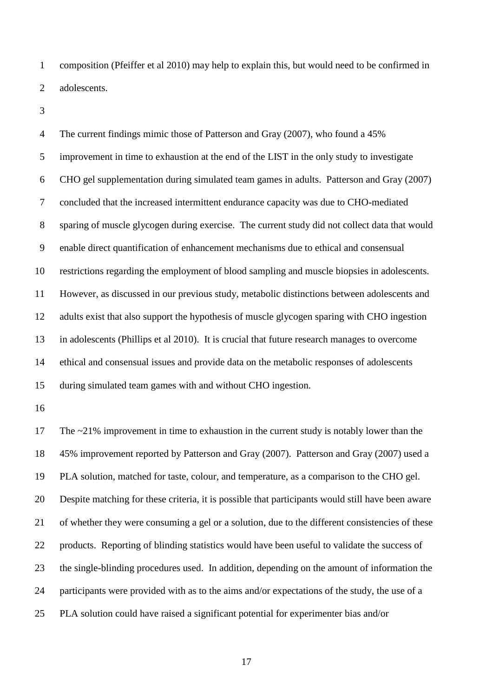composition (Pfeiffer et al 2010) may help to explain this, but would need to be confirmed in adolescents.

 The current findings mimic those of Patterson and Gray (2007), who found a 45% improvement in time to exhaustion at the end of the LIST in the only study to investigate CHO gel supplementation during simulated team games in adults. Patterson and Gray (2007) concluded that the increased intermittent endurance capacity was due to CHO-mediated sparing of muscle glycogen during exercise. The current study did not collect data that would enable direct quantification of enhancement mechanisms due to ethical and consensual restrictions regarding the employment of blood sampling and muscle biopsies in adolescents. However, as discussed in our previous study, metabolic distinctions between adolescents and adults exist that also support the hypothesis of muscle glycogen sparing with CHO ingestion in adolescents (Phillips et al 2010). It is crucial that future research manages to overcome ethical and consensual issues and provide data on the metabolic responses of adolescents during simulated team games with and without CHO ingestion.

 The ~21% improvement in time to exhaustion in the current study is notably lower than the 45% improvement reported by Patterson and Gray (2007). Patterson and Gray (2007) used a PLA solution, matched for taste, colour, and temperature, as a comparison to the CHO gel. Despite matching for these criteria, it is possible that participants would still have been aware of whether they were consuming a gel or a solution, due to the different consistencies of these products. Reporting of blinding statistics would have been useful to validate the success of the single-blinding procedures used. In addition, depending on the amount of information the participants were provided with as to the aims and/or expectations of the study, the use of a PLA solution could have raised a significant potential for experimenter bias and/or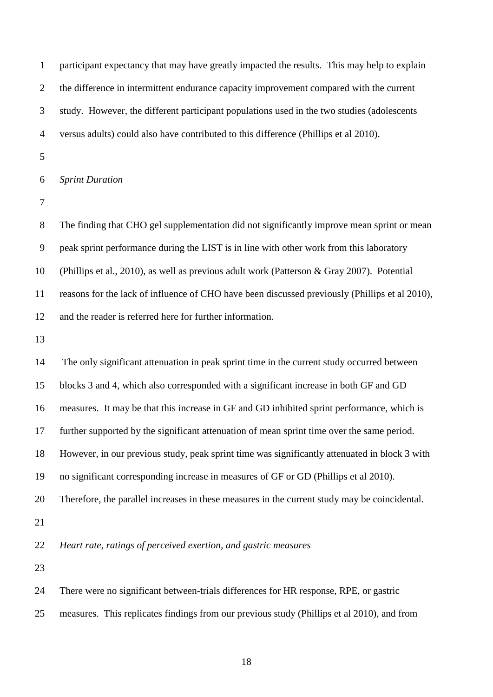| $\mathbf{1}$   | participant expectancy that may have greatly impacted the results. This may help to explain    |
|----------------|------------------------------------------------------------------------------------------------|
| $\overline{2}$ | the difference in intermittent endurance capacity improvement compared with the current        |
| 3              | study. However, the different participant populations used in the two studies (adolescents     |
| $\overline{4}$ | versus adults) could also have contributed to this difference (Phillips et al 2010).           |
| 5              |                                                                                                |
| 6              | <b>Sprint Duration</b>                                                                         |
| $\tau$         |                                                                                                |
| $8\,$          | The finding that CHO gel supplementation did not significantly improve mean sprint or mean     |
| 9              | peak sprint performance during the LIST is in line with other work from this laboratory        |
| 10             | (Phillips et al., 2010), as well as previous adult work (Patterson & Gray 2007). Potential     |
| 11             | reasons for the lack of influence of CHO have been discussed previously (Phillips et al 2010), |
| 12             | and the reader is referred here for further information.                                       |
| 13             |                                                                                                |
| 14             | The only significant attenuation in peak sprint time in the current study occurred between     |
| 15             | blocks 3 and 4, which also corresponded with a significant increase in both GF and GD          |
| 16             | measures. It may be that this increase in GF and GD inhibited sprint performance, which is     |
| 17             | further supported by the significant attenuation of mean sprint time over the same period.     |
| 18             | However, in our previous study, peak sprint time was significantly attenuated in block 3 with  |
| 19             | no significant corresponding increase in measures of GF or GD (Phillips et al 2010).           |
| 20             | Therefore, the parallel increases in these measures in the current study may be coincidental.  |
| 21             |                                                                                                |
| 22             | Heart rate, ratings of perceived exertion, and gastric measures                                |
| 23             |                                                                                                |
| 24             | There were no significant between-trials differences for HR response, RPE, or gastric          |
| 25             | measures. This replicates findings from our previous study (Phillips et al 2010), and from     |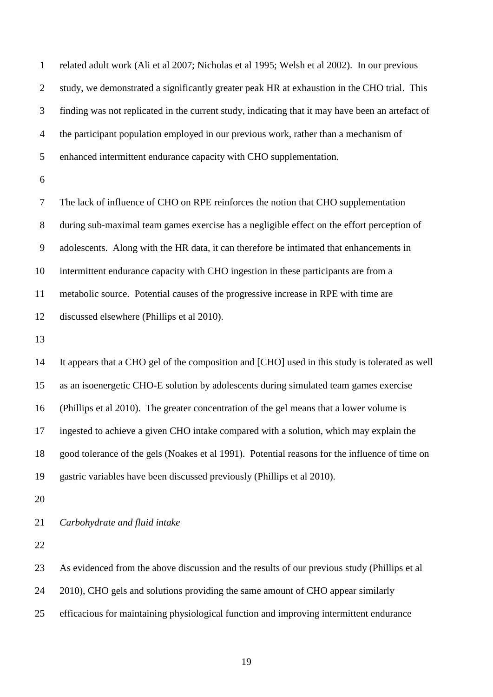| $\mathbf{1}$   | related adult work (Ali et al 2007; Nicholas et al 1995; Welsh et al 2002). In our previous      |
|----------------|--------------------------------------------------------------------------------------------------|
| $\overline{2}$ | study, we demonstrated a significantly greater peak HR at exhaustion in the CHO trial. This      |
| 3              | finding was not replicated in the current study, indicating that it may have been an artefact of |
| $\overline{4}$ | the participant population employed in our previous work, rather than a mechanism of             |
| 5              | enhanced intermittent endurance capacity with CHO supplementation.                               |
| 6              |                                                                                                  |
| $\tau$         | The lack of influence of CHO on RPE reinforces the notion that CHO supplementation               |
| $8\,$          | during sub-maximal team games exercise has a negligible effect on the effort perception of       |
| 9              | adolescents. Along with the HR data, it can therefore be intimated that enhancements in          |
| 10             | intermittent endurance capacity with CHO ingestion in these participants are from a              |
| 11             | metabolic source. Potential causes of the progressive increase in RPE with time are              |
| 12             | discussed elsewhere (Phillips et al 2010).                                                       |
| 13             |                                                                                                  |
| 14             | It appears that a CHO gel of the composition and [CHO] used in this study is tolerated as well   |
| 15             | as an isoenergetic CHO-E solution by adolescents during simulated team games exercise            |
| 16             | (Phillips et al 2010). The greater concentration of the gel means that a lower volume is         |
| 17             | ingested to achieve a given CHO intake compared with a solution, which may explain the           |
| 18             | good tolerance of the gels (Noakes et al 1991). Potential reasons for the influence of time on   |
| 19             | gastric variables have been discussed previously (Phillips et al 2010).                          |
| 20             |                                                                                                  |
| 21             | Carbohydrate and fluid intake                                                                    |
| 22             |                                                                                                  |
| 23             | As evidenced from the above discussion and the results of our previous study (Phillips et al     |
| 24             | 2010), CHO gels and solutions providing the same amount of CHO appear similarly                  |
| 25             | efficacious for maintaining physiological function and improving intermittent endurance          |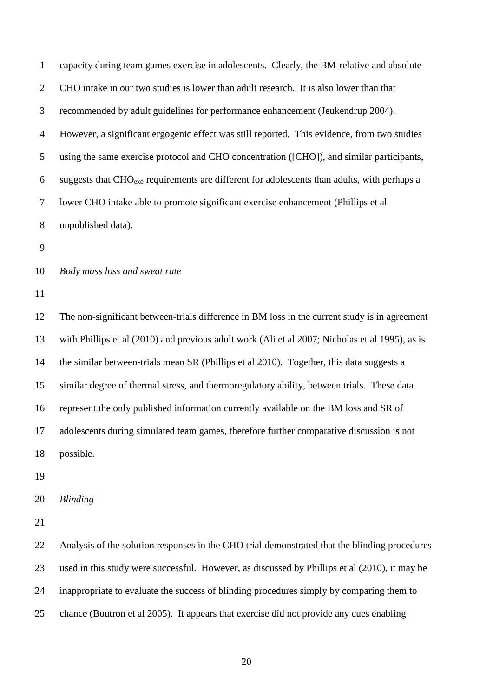| $\mathbf{1}$   | capacity during team games exercise in adolescents. Clearly, the BM-relative and absolute        |
|----------------|--------------------------------------------------------------------------------------------------|
| $\overline{2}$ | CHO intake in our two studies is lower than adult research. It is also lower than that           |
| 3              | recommended by adult guidelines for performance enhancement (Jeukendrup 2004).                   |
| $\overline{4}$ | However, a significant ergogenic effect was still reported. This evidence, from two studies      |
| 5              | using the same exercise protocol and CHO concentration ([CHO]), and similar participants,        |
| 6              | suggests that $CHO_{exo}$ requirements are different for adolescents than adults, with perhaps a |
| $\tau$         | lower CHO intake able to promote significant exercise enhancement (Phillips et al                |
| $8\,$          | unpublished data).                                                                               |
| 9              |                                                                                                  |
| 10             | Body mass loss and sweat rate                                                                    |
| 11             |                                                                                                  |
| 12             | The non-significant between-trials difference in BM loss in the current study is in agreement    |
| 13             | with Phillips et al (2010) and previous adult work (Ali et al 2007; Nicholas et al 1995), as is  |
| 14             | the similar between-trials mean SR (Phillips et al 2010). Together, this data suggests a         |
| 15             | similar degree of thermal stress, and thermoregulatory ability, between trials. These data       |
| 16             | represent the only published information currently available on the BM loss and SR of            |
| 17             | adolescents during simulated team games, therefore further comparative discussion is not         |
| 18             | possible.                                                                                        |
| 19             |                                                                                                  |
| 20             | <b>Blinding</b>                                                                                  |
| 21             |                                                                                                  |
| 22             | Analysis of the solution responses in the CHO trial demonstrated that the blinding procedures    |
| 23             | used in this study were successful. However, as discussed by Phillips et al (2010), it may be    |
| 24             | inappropriate to evaluate the success of blinding procedures simply by comparing them to         |
| 25             | chance (Boutron et al 2005). It appears that exercise did not provide any cues enabling          |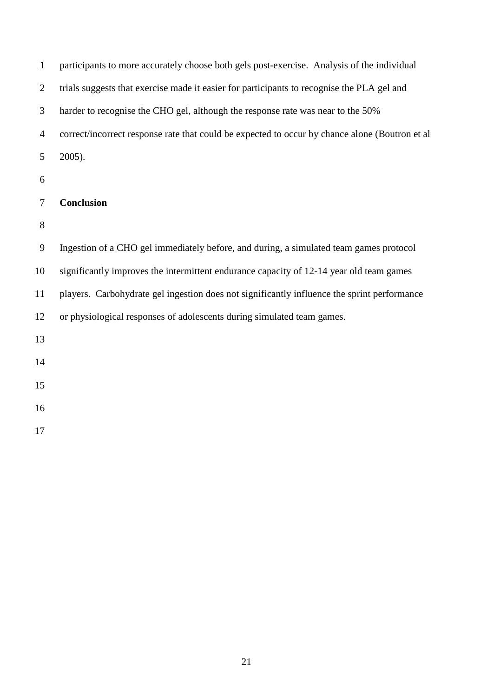| $\mathbf{1}$   | participants to more accurately choose both gels post-exercise. Analysis of the individual     |
|----------------|------------------------------------------------------------------------------------------------|
| $\overline{2}$ | trials suggests that exercise made it easier for participants to recognise the PLA gel and     |
| 3              | harder to recognise the CHO gel, although the response rate was near to the 50%                |
| $\overline{4}$ | correct/incorrect response rate that could be expected to occur by chance alone (Boutron et al |
| 5              | $2005$ ).                                                                                      |
| 6              |                                                                                                |
| 7              | Conclusion                                                                                     |
| 8              |                                                                                                |
| 9              | Ingestion of a CHO gel immediately before, and during, a simulated team games protocol         |
| 10             | significantly improves the intermittent endurance capacity of 12-14 year old team games        |
| 11             | players. Carbohydrate gel ingestion does not significantly influence the sprint performance    |
| 12             | or physiological responses of adolescents during simulated team games.                         |
| 13             |                                                                                                |
| 14             |                                                                                                |
| 15             |                                                                                                |
| 16             |                                                                                                |
| 17             |                                                                                                |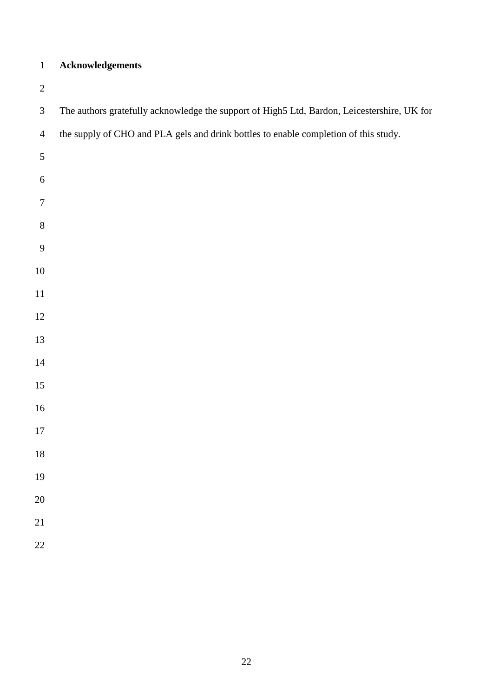# **Acknowledgements**

| $\mathfrak{Z}$   | The authors gratefully acknowledge the support of High5 Ltd, Bardon, Leicestershire, UK for |
|------------------|---------------------------------------------------------------------------------------------|
| $\overline{4}$   | the supply of CHO and PLA gels and drink bottles to enable completion of this study.        |
| $\sqrt{5}$       |                                                                                             |
| 6                |                                                                                             |
| $\boldsymbol{7}$ |                                                                                             |
| $\,8\,$          |                                                                                             |
| $\boldsymbol{9}$ |                                                                                             |
| $10\,$           |                                                                                             |
| $11\,$           |                                                                                             |
| 12               |                                                                                             |
| 13               |                                                                                             |
| $14$             |                                                                                             |
| 15               |                                                                                             |
| $16\,$           |                                                                                             |
| $17\,$           |                                                                                             |
| $18\,$           |                                                                                             |
| 19               |                                                                                             |
| 20               |                                                                                             |
| 21               |                                                                                             |
| 22               |                                                                                             |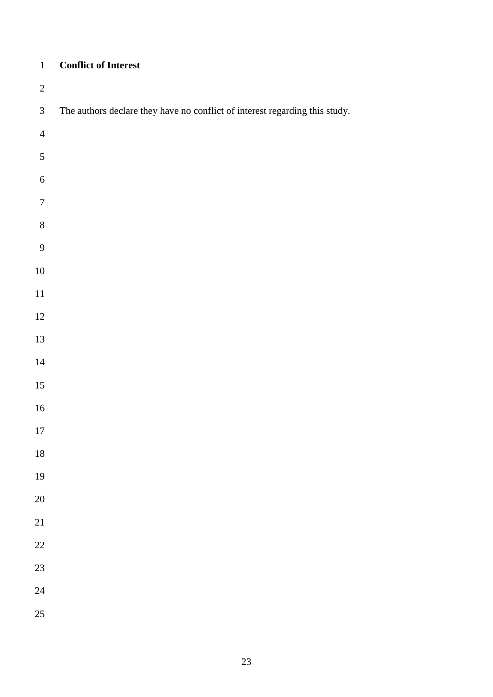### **Conflict of Interest**

| $\sqrt{2}$       |                                                                             |
|------------------|-----------------------------------------------------------------------------|
| $\mathfrak{Z}$   | The authors declare they have no conflict of interest regarding this study. |
| $\overline{4}$   |                                                                             |
| $\sqrt{5}$       |                                                                             |
| $\sqrt{6}$       |                                                                             |
| $\boldsymbol{7}$ |                                                                             |
| $\,8\,$          |                                                                             |
| $\mathbf{9}$     |                                                                             |
| $10\,$           |                                                                             |
| $11\,$           |                                                                             |
| 12               |                                                                             |
| 13               |                                                                             |
| 14               |                                                                             |
| 15               |                                                                             |
| 16               |                                                                             |
| $17\,$           |                                                                             |
| 18               |                                                                             |
| 19               |                                                                             |
| 20               |                                                                             |
| 21               |                                                                             |
| 22               |                                                                             |
| 23               |                                                                             |
| 24               |                                                                             |
| 25               |                                                                             |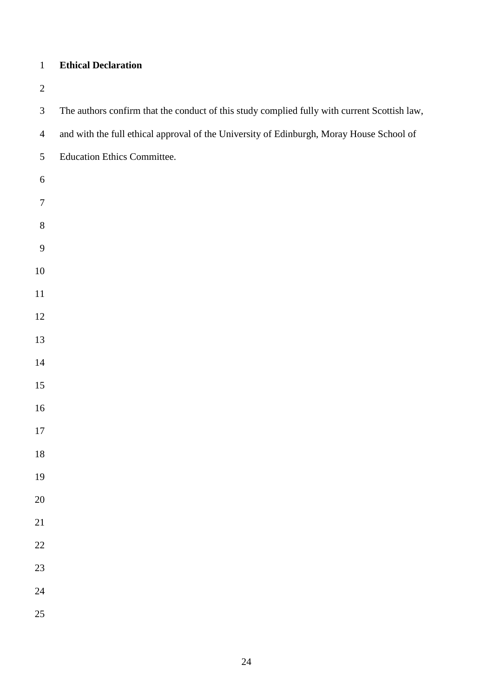### **Ethical Declaration**

| $\mathfrak{Z}$   | The authors confirm that the conduct of this study complied fully with current Scottish law, |
|------------------|----------------------------------------------------------------------------------------------|
| $\overline{4}$   | and with the full ethical approval of the University of Edinburgh, Moray House School of     |
| $\mathfrak{S}$   | <b>Education Ethics Committee.</b>                                                           |
| $\sqrt{6}$       |                                                                                              |
| $\boldsymbol{7}$ |                                                                                              |
| $8\,$            |                                                                                              |
| $\mathbf{9}$     |                                                                                              |
| $10\,$           |                                                                                              |
| $11\,$           |                                                                                              |
| $12\,$           |                                                                                              |
| 13               |                                                                                              |
| $14\,$           |                                                                                              |
| 15               |                                                                                              |
| $16\,$           |                                                                                              |
| $17\,$           |                                                                                              |
| $18\,$           |                                                                                              |
| 19               |                                                                                              |
| 20               |                                                                                              |
| 21               |                                                                                              |
| $22\,$           |                                                                                              |
| 23               |                                                                                              |
| 24               |                                                                                              |
| 25               |                                                                                              |
|                  |                                                                                              |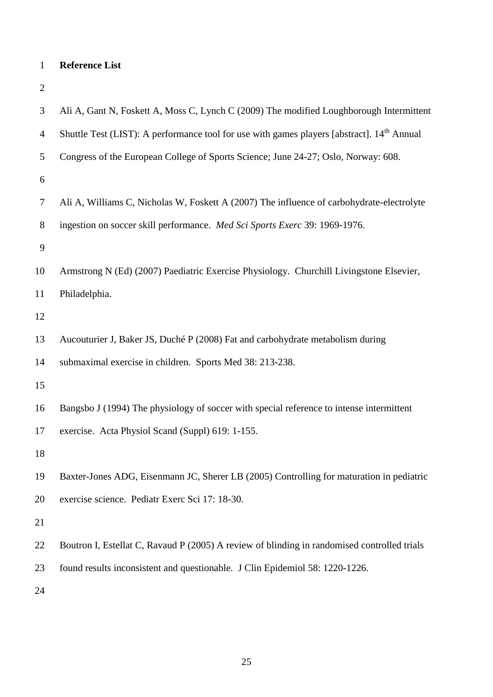# **Reference List**

| 3              | Ali A, Gant N, Foskett A, Moss C, Lynch C (2009) The modified Loughborough Intermittent                |
|----------------|--------------------------------------------------------------------------------------------------------|
| $\overline{4}$ | Shuttle Test (LIST): A performance tool for use with games players [abstract]. 14 <sup>th</sup> Annual |
| 5              | Congress of the European College of Sports Science; June 24-27; Oslo, Norway: 608.                     |
| 6              |                                                                                                        |
| $\tau$         | Ali A, Williams C, Nicholas W, Foskett A (2007) The influence of carbohydrate-electrolyte              |
| $8\,$          | ingestion on soccer skill performance. Med Sci Sports Exerc 39: 1969-1976.                             |
| 9              |                                                                                                        |
| 10             | Armstrong N (Ed) (2007) Paediatric Exercise Physiology. Churchill Livingstone Elsevier,                |
| 11             | Philadelphia.                                                                                          |
| 12             |                                                                                                        |
| 13             | Aucouturier J, Baker JS, Duché P (2008) Fat and carbohydrate metabolism during                         |
| 14             | submaximal exercise in children. Sports Med 38: 213-238.                                               |
| 15             |                                                                                                        |
| 16             | Bangsbo J (1994) The physiology of soccer with special reference to intense intermittent               |
| 17             | exercise. Acta Physiol Scand (Suppl) 619: 1-155.                                                       |
| 18             |                                                                                                        |
| 19             | Baxter-Jones ADG, Eisenmann JC, Sherer LB (2005) Controlling for maturation in pediatric               |
| 20             | exercise science. Pediatr Exerc Sci 17: 18-30.                                                         |
| 21             |                                                                                                        |
| 22             | Boutron I, Estellat C, Ravaud P (2005) A review of blinding in randomised controlled trials            |
| 23             | found results inconsistent and questionable. J Clin Epidemiol 58: 1220-1226.                           |
| 24             |                                                                                                        |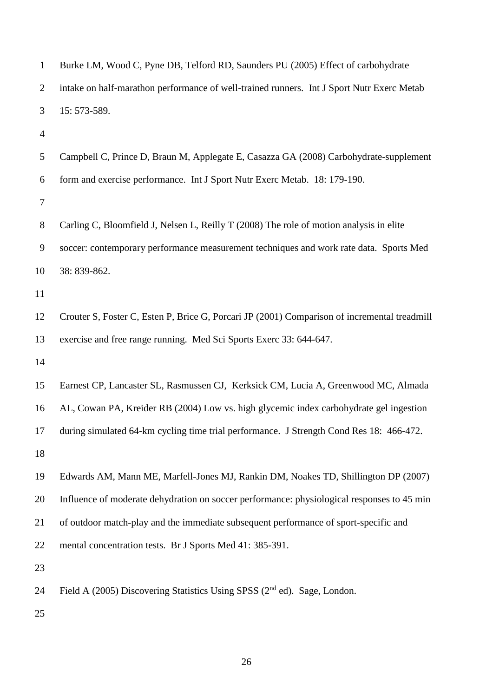| $\overline{2}$ | intake on half-marathon performance of well-trained runners. Int J Sport Nutr Exerc Metab    |
|----------------|----------------------------------------------------------------------------------------------|
| 3              | 15: 573-589.                                                                                 |
| $\overline{4}$ |                                                                                              |
| 5              | Campbell C, Prince D, Braun M, Applegate E, Casazza GA (2008) Carbohydrate-supplement        |
| 6              | form and exercise performance. Int J Sport Nutr Exerc Metab. 18: 179-190.                    |
| 7              |                                                                                              |
| $8\,$          | Carling C, Bloomfield J, Nelsen L, Reilly T (2008) The role of motion analysis in elite      |
| 9              | soccer: contemporary performance measurement techniques and work rate data. Sports Med       |
| 10             | 38: 839-862.                                                                                 |
| 11             |                                                                                              |
| 12             | Crouter S, Foster C, Esten P, Brice G, Porcari JP (2001) Comparison of incremental treadmill |
| 13             | exercise and free range running. Med Sci Sports Exerc 33: 644-647.                           |
| 14             |                                                                                              |
| 15             | Earnest CP, Lancaster SL, Rasmussen CJ, Kerksick CM, Lucia A, Greenwood MC, Almada           |
| 16             | AL, Cowan PA, Kreider RB (2004) Low vs. high glycemic index carbohydrate gel ingestion       |
| 17             | during simulated 64-km cycling time trial performance. J Strength Cond Res 18: 466-472.      |
| 18             |                                                                                              |
| 19             | Edwards AM, Mann ME, Marfell-Jones MJ, Rankin DM, Noakes TD, Shillington DP (2007)           |
| 20             | Influence of moderate dehydration on soccer performance: physiological responses to 45 min   |
| 21             | of outdoor match-play and the immediate subsequent performance of sport-specific and         |
| 22             | mental concentration tests. Br J Sports Med 41: 385-391.                                     |
| 23             |                                                                                              |
| 24             | Field A (2005) Discovering Statistics Using SPSS ( $2nd$ ed). Sage, London.                  |
| 25             |                                                                                              |

Burke LM, Wood C, Pyne DB, Telford RD, Saunders PU (2005) Effect of carbohydrate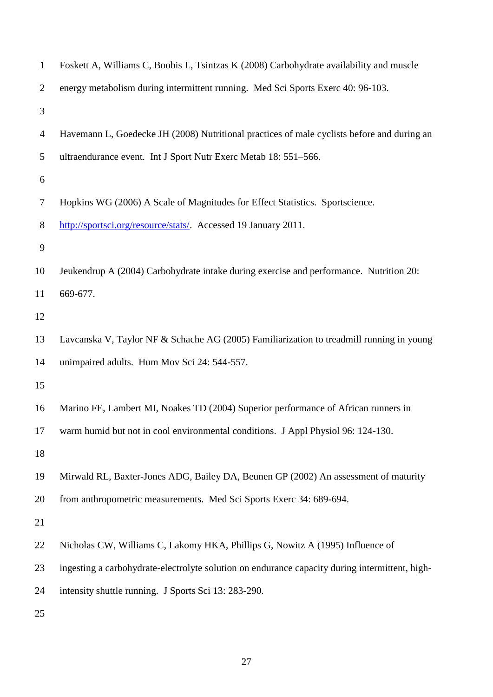| $\mathbf{1}$   | Foskett A, Williams C, Boobis L, Tsintzas K (2008) Carbohydrate availability and muscle        |
|----------------|------------------------------------------------------------------------------------------------|
| $\overline{2}$ | energy metabolism during intermittent running. Med Sci Sports Exerc 40: 96-103.                |
| 3              |                                                                                                |
| 4              | Havemann L, Goedecke JH (2008) Nutritional practices of male cyclists before and during an     |
| 5              | ultraendurance event. Int J Sport Nutr Exerc Metab 18: 551-566.                                |
| 6              |                                                                                                |
| 7              | Hopkins WG (2006) A Scale of Magnitudes for Effect Statistics. Sportscience.                   |
| 8              | http://sportsci.org/resource/stats/. Accessed 19 January 2011.                                 |
| 9              |                                                                                                |
| 10             | Jeukendrup A (2004) Carbohydrate intake during exercise and performance. Nutrition 20:         |
| 11             | 669-677.                                                                                       |
| 12             |                                                                                                |
| 13             | Lavcanska V, Taylor NF & Schache AG (2005) Familiarization to treadmill running in young       |
| 14             | unimpaired adults. Hum Mov Sci 24: 544-557.                                                    |
| 15             |                                                                                                |
| 16             | Marino FE, Lambert MI, Noakes TD (2004) Superior performance of African runners in             |
| 17             | warm humid but not in cool environmental conditions. J Appl Physiol 96: 124-130.               |
| 18             |                                                                                                |
| 19             | Mirwald RL, Baxter-Jones ADG, Bailey DA, Beunen GP (2002) An assessment of maturity            |
| 20             | from anthropometric measurements. Med Sci Sports Exerc 34: 689-694.                            |
| 21             |                                                                                                |
| 22             | Nicholas CW, Williams C, Lakomy HKA, Phillips G, Nowitz A (1995) Influence of                  |
| 23             | ingesting a carbohydrate-electrolyte solution on endurance capacity during intermittent, high- |
| 24             | intensity shuttle running. J Sports Sci 13: 283-290.                                           |
| 25             |                                                                                                |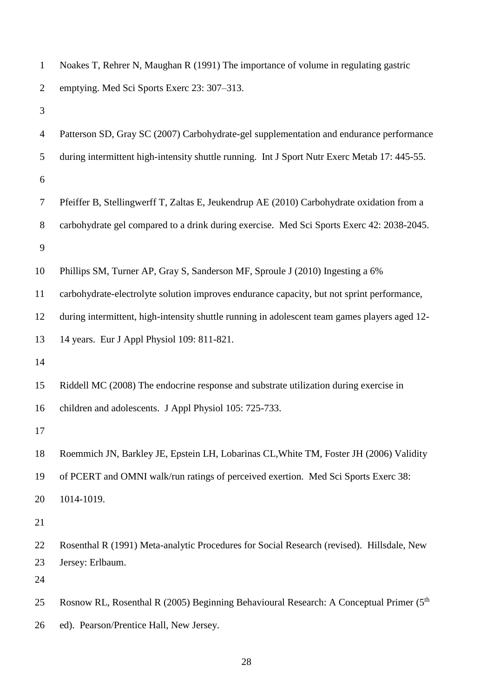| $\mathbf{1}$   | Noakes T, Rehrer N, Maughan R (1991) The importance of volume in regulating gastric                  |
|----------------|------------------------------------------------------------------------------------------------------|
| $\overline{2}$ | emptying. Med Sci Sports Exerc 23: 307–313.                                                          |
| 3              |                                                                                                      |
| $\overline{4}$ | Patterson SD, Gray SC (2007) Carbohydrate-gel supplementation and endurance performance              |
| 5              | during intermittent high-intensity shuttle running. Int J Sport Nutr Exerc Metab 17: 445-55.         |
| 6              |                                                                                                      |
| 7              | Pfeiffer B, Stellingwerff T, Zaltas E, Jeukendrup AE (2010) Carbohydrate oxidation from a            |
| 8              | carbohydrate gel compared to a drink during exercise. Med Sci Sports Exerc 42: 2038-2045.            |
| 9              |                                                                                                      |
| 10             | Phillips SM, Turner AP, Gray S, Sanderson MF, Sproule J (2010) Ingesting a 6%                        |
| 11             | carbohydrate-electrolyte solution improves endurance capacity, but not sprint performance,           |
| 12             | during intermittent, high-intensity shuttle running in adolescent team games players aged 12-        |
| 13             | 14 years. Eur J Appl Physiol 109: 811-821.                                                           |
| 14             |                                                                                                      |
| 15             | Riddell MC (2008) The endocrine response and substrate utilization during exercise in                |
| 16             | children and adolescents. J Appl Physiol 105: 725-733.                                               |
| 17             |                                                                                                      |
| 18             | Roemmich JN, Barkley JE, Epstein LH, Lobarinas CL, White TM, Foster JH (2006) Validity               |
| 19             | of PCERT and OMNI walk/run ratings of perceived exertion. Med Sci Sports Exerc 38:                   |
| 20             | 1014-1019.                                                                                           |
| 21             |                                                                                                      |
| 22             | Rosenthal R (1991) Meta-analytic Procedures for Social Research (revised). Hillsdale, New            |
| 23             | Jersey: Erlbaum.                                                                                     |
| 24             |                                                                                                      |
| 25             | Rosnow RL, Rosenthal R (2005) Beginning Behavioural Research: A Conceptual Primer (5 <sup>th</sup> ) |
| 26             | ed). Pearson/Prentice Hall, New Jersey.                                                              |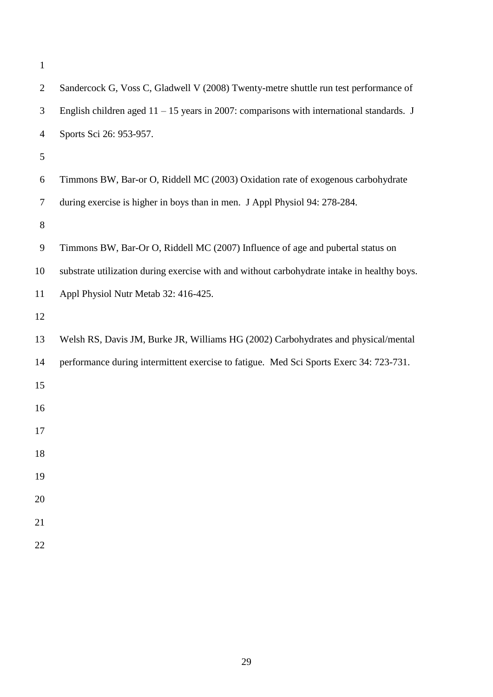| $\mathbf{1}$   |                                                                                             |
|----------------|---------------------------------------------------------------------------------------------|
| $\overline{2}$ | Sandercock G, Voss C, Gladwell V (2008) Twenty-metre shuttle run test performance of        |
| 3              | English children aged $11 - 15$ years in 2007: comparisons with international standards. J  |
| 4              | Sports Sci 26: 953-957.                                                                     |
| 5              |                                                                                             |
| 6              | Timmons BW, Bar-or O, Riddell MC (2003) Oxidation rate of exogenous carbohydrate            |
| 7              | during exercise is higher in boys than in men. J Appl Physiol 94: 278-284.                  |
| 8              |                                                                                             |
| 9              | Timmons BW, Bar-Or O, Riddell MC (2007) Influence of age and pubertal status on             |
| 10             | substrate utilization during exercise with and without carbohydrate intake in healthy boys. |
| 11             | Appl Physiol Nutr Metab 32: 416-425.                                                        |
| 12             |                                                                                             |
| 13             | Welsh RS, Davis JM, Burke JR, Williams HG (2002) Carbohydrates and physical/mental          |
| 14             | performance during intermittent exercise to fatigue. Med Sci Sports Exerc 34: 723-731.      |
| 15             |                                                                                             |
| 16             |                                                                                             |
| 17             |                                                                                             |
| 18             |                                                                                             |
| 19             |                                                                                             |
| 20             |                                                                                             |
| 21             |                                                                                             |
| 22             |                                                                                             |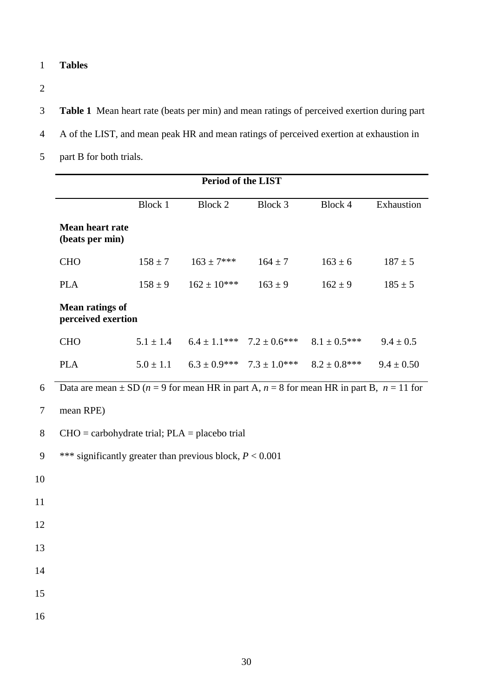- **Tables**
- 

**Table 1** Mean heart rate (beats per min) and mean ratings of perceived exertion during part

- A of the LIST, and mean peak HR and mean ratings of perceived exertion at exhaustion in
- part B for both trials.

|                | <b>Period of the LIST</b>                                                                                          |                |                    |                                   |                                                    |                |  |  |  |
|----------------|--------------------------------------------------------------------------------------------------------------------|----------------|--------------------|-----------------------------------|----------------------------------------------------|----------------|--|--|--|
|                |                                                                                                                    | <b>Block 1</b> | Block 2            | Block 3                           | Block 4                                            | Exhaustion     |  |  |  |
|                | <b>Mean heart rate</b><br>(beats per min)                                                                          |                |                    |                                   |                                                    |                |  |  |  |
|                | <b>CHO</b>                                                                                                         | $158 \pm 7$    | $163 \pm 7***$     | $164 \pm 7$                       | $163 \pm 6$                                        | $187 \pm 5$    |  |  |  |
|                | <b>PLA</b>                                                                                                         | $158 \pm 9$    | $162 \pm 10^{***}$ | $163 \pm 9$                       | $162 \pm 9$                                        | $185 \pm 5$    |  |  |  |
|                | <b>Mean ratings of</b><br>perceived exertion                                                                       |                |                    |                                   |                                                    |                |  |  |  |
|                | <b>CHO</b>                                                                                                         | $5.1 \pm 1.4$  |                    | $6.4 \pm 1.1***$ $7.2 \pm 0.6***$ | $8.1 \pm 0.5$ ***                                  | $9.4 \pm 0.5$  |  |  |  |
|                | <b>PLA</b>                                                                                                         | $5.0 \pm 1.1$  |                    |                                   | $6.3 \pm 0.9***$ 7.3 $\pm 1.0***$ 8.2 $\pm 0.8***$ | $9.4 \pm 0.50$ |  |  |  |
| 6              | Data are mean $\pm$ SD ( <i>n</i> = 9 for mean HR in part A, <i>n</i> = 8 for mean HR in part B, <i>n</i> = 11 for |                |                    |                                   |                                                    |                |  |  |  |
| $\overline{7}$ | mean RPE)                                                                                                          |                |                    |                                   |                                                    |                |  |  |  |
| 8              | $CHO = carbohydrate trial$ ; $PLA = placebo trial$                                                                 |                |                    |                                   |                                                    |                |  |  |  |
| 9              | *** significantly greater than previous block, $P < 0.001$                                                         |                |                    |                                   |                                                    |                |  |  |  |
| 10             |                                                                                                                    |                |                    |                                   |                                                    |                |  |  |  |
| 11             |                                                                                                                    |                |                    |                                   |                                                    |                |  |  |  |
| 12             |                                                                                                                    |                |                    |                                   |                                                    |                |  |  |  |
| 13             |                                                                                                                    |                |                    |                                   |                                                    |                |  |  |  |
| 14             |                                                                                                                    |                |                    |                                   |                                                    |                |  |  |  |
| 15             |                                                                                                                    |                |                    |                                   |                                                    |                |  |  |  |
| 16             |                                                                                                                    |                |                    |                                   |                                                    |                |  |  |  |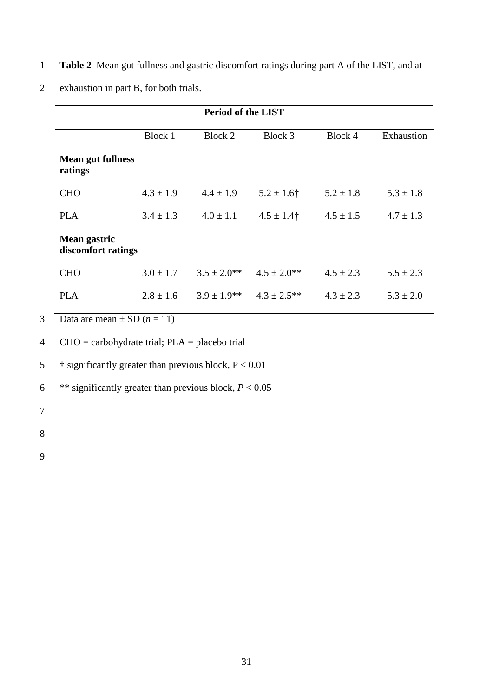1 **Table 2** Mean gut fullness and gastric discomfort ratings during part A of the LIST, and at

| <b>Period of the LIST</b> |                                                |                  |               |               |  |  |  |  |  |
|---------------------------|------------------------------------------------|------------------|---------------|---------------|--|--|--|--|--|
| Block 1                   | Block 2                                        | Block 3          | Block 4       | Exhaustion    |  |  |  |  |  |
|                           |                                                |                  |               |               |  |  |  |  |  |
| $4.3 \pm 1.9$             | $4.4 \pm 1.9$                                  | $5.2 \pm 1.6$ †  | $5.2 \pm 1.8$ | $5.3 \pm 1.8$ |  |  |  |  |  |
| $3.4 \pm 1.3$             | $4.0 \pm 1.1$                                  | $4.5 \pm 1.4$ †  | $4.5 \pm 1.5$ | $4.7 \pm 1.3$ |  |  |  |  |  |
|                           |                                                |                  |               |               |  |  |  |  |  |
| $3.0 \pm 1.7$             | $3.5 \pm 2.0$ **                               | $4.5 \pm 2.0$ ** | $4.5 \pm 2.3$ | $5.5 \pm 2.3$ |  |  |  |  |  |
| $2.8 \pm 1.6$             | $3.9 \pm 1.9$ **                               | $4.3 \pm 2.5$ ** | $4.3 \pm 2.3$ | $5.3 \pm 2.0$ |  |  |  |  |  |
|                           | <b>Mean gut fullness</b><br>discomfort ratings |                  |               |               |  |  |  |  |  |

2 exhaustion in part B, for both trials.

3 Data are mean  $\pm$  SD  $(n = 11)$ 

4  $CHO =$  carbohydrate trial;  $PLA =$  placebo trial

5  $\ddot{\text{ } }$  is significantly greater than previous block, P < 0.01

6 \*\* significantly greater than previous block,  $P < 0.05$ 

- 7
- 

8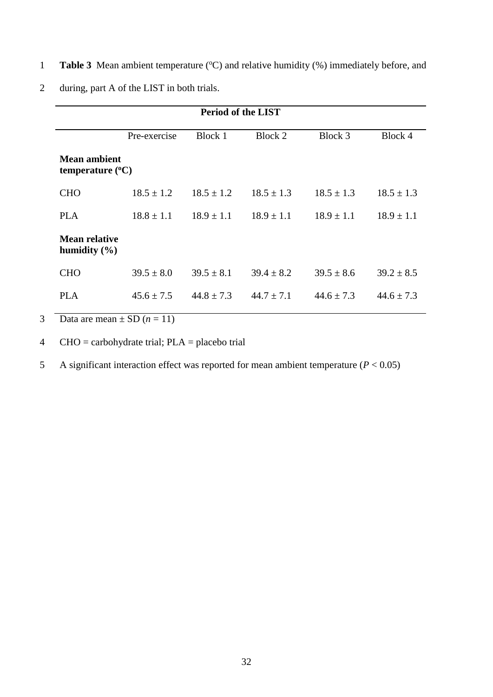1 Table 3 Mean ambient temperature (°C) and relative humidity (%) immediately before, and

|                                                          | <b>Period of the LIST</b> |                |                                  |                |                |  |  |  |  |
|----------------------------------------------------------|---------------------------|----------------|----------------------------------|----------------|----------------|--|--|--|--|
| Pre-exercise<br>Block 1<br>Block 2<br>Block 3<br>Block 4 |                           |                |                                  |                |                |  |  |  |  |
| <b>Mean ambient</b><br>temperature $(^{\circ}C)$         |                           |                |                                  |                |                |  |  |  |  |
| <b>CHO</b>                                               | $18.5 \pm 1.2$            | $18.5 \pm 1.2$ | $18.5 \pm 1.3$                   | $18.5 \pm 1.3$ | $18.5 \pm 1.3$ |  |  |  |  |
| <b>PLA</b>                                               | $18.8 \pm 1.1$            |                | $18.9 \pm 1.1$<br>$18.9 \pm 1.1$ |                | $18.9 \pm 1.1$ |  |  |  |  |
| <b>Mean relative</b><br>humidity $(\% )$                 |                           |                |                                  |                |                |  |  |  |  |
| <b>CHO</b>                                               | $39.5 \pm 8.0$            | $39.5 \pm 8.1$ | $39.4 \pm 8.2$                   | $39.5 \pm 8.6$ | $39.2 \pm 8.5$ |  |  |  |  |
| <b>PLA</b><br>$45.6 \pm 7.5$                             |                           | $44.8 \pm 7.3$ | $44.7 \pm 7.1$                   | $44.6 + 7.3$   | $44.6 \pm 7.3$ |  |  |  |  |

2 during, part A of the LIST in both trials.

3 Data are mean  $\pm$  SD ( $n = 11$ )

4  $CHO =$  carbohydrate trial; PLA = placebo trial

5 A significant interaction effect was reported for mean ambient temperature (*P* < 0.05)